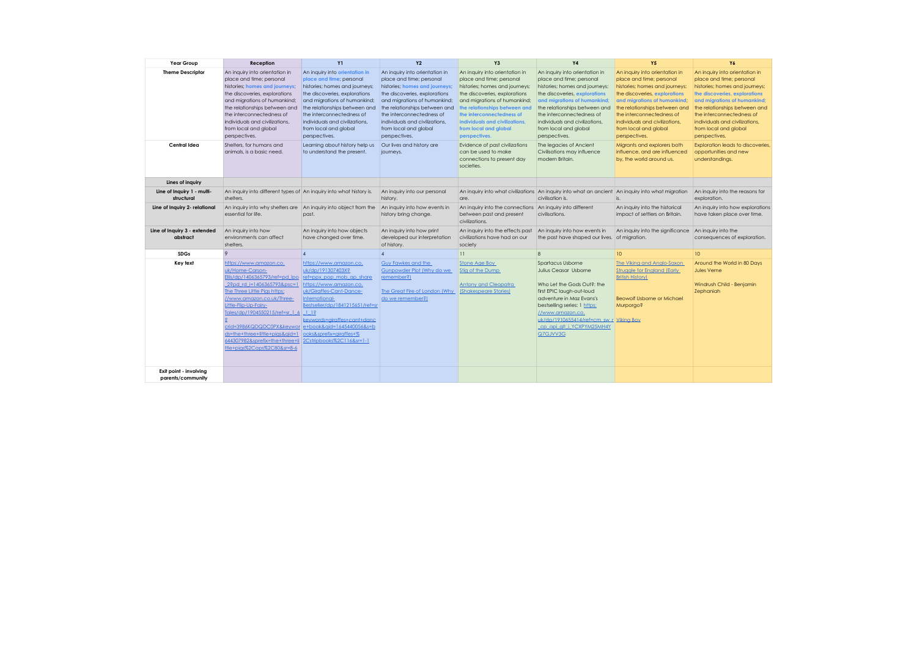| Year Group                                  | Reception                                                                                                                                                                                                                                                                                                                                                                                       | <b>Y1</b>                                                                                                                                                                                                                                                                                               | Y2                                                                                                                                                                                                                                                                                                      | Y3                                                                                                                                                                                                                                                                                                      | <b>Y4</b>                                                                                                                                                                                                                                                                                               | <b>Y5</b>                                                                                                                                                                                                                                                                                               | <b>Y6</b>                                                                                                                                                                                                                                                                                               |
|---------------------------------------------|-------------------------------------------------------------------------------------------------------------------------------------------------------------------------------------------------------------------------------------------------------------------------------------------------------------------------------------------------------------------------------------------------|---------------------------------------------------------------------------------------------------------------------------------------------------------------------------------------------------------------------------------------------------------------------------------------------------------|---------------------------------------------------------------------------------------------------------------------------------------------------------------------------------------------------------------------------------------------------------------------------------------------------------|---------------------------------------------------------------------------------------------------------------------------------------------------------------------------------------------------------------------------------------------------------------------------------------------------------|---------------------------------------------------------------------------------------------------------------------------------------------------------------------------------------------------------------------------------------------------------------------------------------------------------|---------------------------------------------------------------------------------------------------------------------------------------------------------------------------------------------------------------------------------------------------------------------------------------------------------|---------------------------------------------------------------------------------------------------------------------------------------------------------------------------------------------------------------------------------------------------------------------------------------------------------|
| <b>Theme Descriptor</b>                     | An inquiry into orientation in<br>place and time; personal<br>histories; homes and journeys;<br>the discoveries, explorations<br>and migrations of humankind;<br>the relationships between and<br>the interconnectedness of<br>individuals and civilizations.<br>from local and global<br>perspectives.                                                                                         | An inquiry into orientation in<br>place and time; personal<br>histories; homes and journeys;<br>the discoveries, explorations<br>and migrations of humankind;<br>the relationships between and<br>the interconnectedness of<br>individuals and civilizations.<br>from local and global<br>perspectives. | An inquiry into orientation in<br>place and time; personal<br>histories; homes and journeys;<br>the discoveries, explorations<br>and migrations of humankind;<br>the relationships between and<br>the interconnectedness of<br>individuals and civilizations.<br>from local and global<br>perspectives. | An inquiry into orientation in<br>place and time; personal<br>histories; homes and journeys;<br>the discoveries, explorations<br>and migrations of humankind;<br>the relationships between and<br>the interconnectedness of<br>individuals and civilizations.<br>from local and global<br>perspectives. | An inquiry into orientation in<br>place and time; personal<br>histories; homes and journeys;<br>the discoveries, explorations<br>and migrations of humankind;<br>the relationships between and<br>the interconnectedness of<br>individuals and civilizations.<br>from local and global<br>perspectives. | An inquiry into orientation in<br>place and time; personal<br>histories; homes and journeys;<br>the discoveries, explorations<br>and migrations of humankind.<br>the relationships between and<br>the interconnectedness of<br>individuals and civilizations.<br>from local and global<br>perspectives. | An inquiry into orientation in<br>place and time; personal<br>histories; homes and journeys;<br>the discoveries, explorations<br>and migrations of humankind;<br>the relationships between and<br>the interconnectedness of<br>individuals and civilizations.<br>from local and global<br>perspectives. |
| Central Idea                                | Shelters, for humans and<br>animals, is a basic need.                                                                                                                                                                                                                                                                                                                                           | Learning about history help us<br>to understand the present.                                                                                                                                                                                                                                            | Our lives and history are<br>journeys.                                                                                                                                                                                                                                                                  | Evidence of past civilizations<br>can be used to make<br>connections to present day<br>societies.                                                                                                                                                                                                       | The legacies of Ancient<br>Civilisations may influence<br>modern Britain.                                                                                                                                                                                                                               | Migrants and explorers both<br>influence, and are influenced<br>by, the world around us.                                                                                                                                                                                                                | Exploration leads to discoveries.<br>opportunities and new<br>understandings.                                                                                                                                                                                                                           |
| Lines of inquiry                            |                                                                                                                                                                                                                                                                                                                                                                                                 |                                                                                                                                                                                                                                                                                                         |                                                                                                                                                                                                                                                                                                         |                                                                                                                                                                                                                                                                                                         |                                                                                                                                                                                                                                                                                                         |                                                                                                                                                                                                                                                                                                         |                                                                                                                                                                                                                                                                                                         |
| Line of Inquiry 1 - multi-<br>structural    | An inquiry into different types of An inquiry into what history is.<br>shelters.                                                                                                                                                                                                                                                                                                                |                                                                                                                                                                                                                                                                                                         | An inquiry into our personal<br>history.                                                                                                                                                                                                                                                                | are.                                                                                                                                                                                                                                                                                                    | An inquiry into what civilizations An inquiry into what an ancient An inquiry into what migration<br>civilisation is.                                                                                                                                                                                   | is.                                                                                                                                                                                                                                                                                                     | An inquiry into the reasons for<br>exploration.                                                                                                                                                                                                                                                         |
| Line of Inquiry 2- relational               | An inquiry into why shelters are An inquiry into object from the<br>essential for life.                                                                                                                                                                                                                                                                                                         | past.                                                                                                                                                                                                                                                                                                   | An inquiry into how events in<br>history bring change.                                                                                                                                                                                                                                                  | An inquiry into the connections<br>between past and present<br>civilizations.                                                                                                                                                                                                                           | An inquiry into different<br>civilisations.                                                                                                                                                                                                                                                             | An inquiry into the historical<br>impact of settlers on Britain.                                                                                                                                                                                                                                        | An inquiry into how explorations<br>have taken place over time.                                                                                                                                                                                                                                         |
| Line of Inquiry 3 - extended<br>abstract    | An inquiry into how<br>environments can affect<br>shelters.                                                                                                                                                                                                                                                                                                                                     | An inquiry into how objects<br>have changed over time.                                                                                                                                                                                                                                                  | An inquiry into how print<br>developed our interpretation<br>of history.                                                                                                                                                                                                                                | An inquiry into the effects past<br>civilizations have had on our<br>society                                                                                                                                                                                                                            | An inquiry into how events in<br>the past have shaped our lives. of migration.                                                                                                                                                                                                                          | An inquiry into the significance An inquiry into the                                                                                                                                                                                                                                                    | consequences of exploration.                                                                                                                                                                                                                                                                            |
| <b>SDGs</b>                                 | $\overline{Q}$                                                                                                                                                                                                                                                                                                                                                                                  | $\overline{4}$                                                                                                                                                                                                                                                                                          | $\overline{4}$                                                                                                                                                                                                                                                                                          | $\overline{11}$                                                                                                                                                                                                                                                                                         | $\mathbf{g}$                                                                                                                                                                                                                                                                                            | 10 <sup>°</sup>                                                                                                                                                                                                                                                                                         | 10                                                                                                                                                                                                                                                                                                      |
| Key text                                    | https://www.amazon.co.<br>uk/Home-Carson-<br>Ellis/dp/1406365793/ref=pd lpo ref=ppx pop mob ap share<br>2?pd rd i=1406365793&psc=1<br>The Three Little Pias https:<br>//www.amazon.co.uk/Three-<br>Little-Flip-Up-Fairy-<br>Tales/dp/1904550215/ref=sr 1 6 1 1?<br>crid=3986KQDQDC0PX&kevwor<br>ds=the+three+little+pias&aid=1<br>644307982&sprefix=the+three+li<br>ttle+pias%2Caps%2C80&sr=8-6 | https://www.amazon.co.<br>uk/dp/191307403X?<br>https://www.amazon.co.<br>uk/Giraffes-Cant-Dance-<br>International-<br>Bestseller/dp/1841215651/ref=sr<br>keywords=airaffes+cant+danc<br>e+book&gid=1645440056&s=b<br>ooks&sprefix=airaffes+%<br>2Cstripbooks%2C116&sr=1-1                               | Guv Fawkes and the<br>Gunpowder Plot (Why do we<br>remember?)<br>The Great Fire of London (Why)<br>do we remember?)                                                                                                                                                                                     | Stone Age Boy<br>Stig of the Dump<br><b>Antony and Cleopatra</b><br>(Shakespeare Stories)                                                                                                                                                                                                               | Spartacus Usborne<br>Julius Ceasar Usborne<br>Who Let the Gods Out?: the<br>first EPIC laugh-out-loud<br>adventure in Maz Evans's<br>bestselling series: 1 https:<br>//www.amazon.co.<br>uk/dp/1910655414/ref=cm sw r Viking Boy<br>cp api alt i YCXPYM25MH4Y<br>Q7GJVV3G                               | The Viking and Anglo-Saxon<br><b>Struagle for England (Early)</b><br><b>British History)</b><br><b>Beowolf Usborne or Michael</b><br>SoproquM                                                                                                                                                           | Around the World in 80 Days<br>Jules Verne<br>Windrush Child - Benjamin<br>Zephaniah                                                                                                                                                                                                                    |
| Exit point - involving<br>parents/community |                                                                                                                                                                                                                                                                                                                                                                                                 |                                                                                                                                                                                                                                                                                                         |                                                                                                                                                                                                                                                                                                         |                                                                                                                                                                                                                                                                                                         |                                                                                                                                                                                                                                                                                                         |                                                                                                                                                                                                                                                                                                         |                                                                                                                                                                                                                                                                                                         |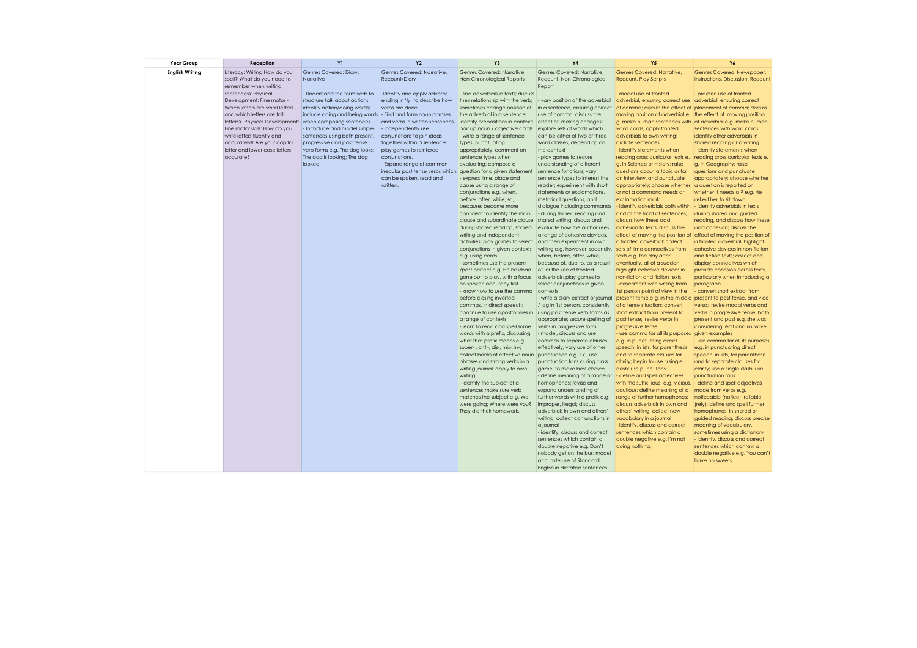| <b>Year Group</b>      | Reception                                                     | <b>Y1</b>                                                    | <b>Y2</b>                                              | Y3                                                          | Υ4                                                                  | <b>Y5</b>                                                                                           | Y6                                                                |
|------------------------|---------------------------------------------------------------|--------------------------------------------------------------|--------------------------------------------------------|-------------------------------------------------------------|---------------------------------------------------------------------|-----------------------------------------------------------------------------------------------------|-------------------------------------------------------------------|
| <b>English Writing</b> | Literacy: Writing How do you                                  | Genres Covered: Diary,                                       | Genres Covered: Narrative.                             | Genres Covered: Narrative.                                  | Genres Covered: Narrative.                                          | Genres Covered: Narrative.                                                                          | Genres Covered: Newspaper,                                        |
|                        | spell? What do you need to                                    | Narrative                                                    | <b>Recount/Diary</b>                                   | Non-Chronological Reports                                   | Recount, Non-Chronological                                          | <b>Recount, Play Scripts</b>                                                                        | Instructions, Discussion, Recount                                 |
|                        | remember when writing                                         |                                                              |                                                        |                                                             | Report                                                              |                                                                                                     |                                                                   |
|                        | sentences? Physical                                           | - Understand the term verb to                                | -Identify and apply adverbs                            | - find adverbials in texts; discuss                         |                                                                     | model use of fronted                                                                                | - practise use of fronted                                         |
|                        | Development: Fine motor -                                     | structure talk about actions;                                | ending in 'ly' to describe how                         | their relationship with the verb;                           | - vary position of the adverbial                                    | adverbial, ensuring correct use adverbial, ensuring correct                                         |                                                                   |
|                        | Which letters are small letters                               | identify action/doing words;                                 | verbs are done.                                        | sometimes change position of                                | in a sentence, ensuring correct                                     | of comma; discuss the effect<br>† of                                                                | placement of comma; discuss                                       |
|                        | and which letters are tall                                    | include doing and being words - Find and form noun phrases   |                                                        | the adverbial in a sentence;                                | use of comma; discuss the                                           | moving position of adverbial e.                                                                     | the effect of moving position                                     |
|                        | letters? Physical Development:                                | when composing sentences.                                    | and verbs in written sentences.                        | identify prepositions in context;                           | effect of making changes;                                           | g. make human sentences with of adverbial e.g. make human                                           |                                                                   |
|                        | Fine motor skills: How do you                                 | - Introduce and model simple                                 | - Independently use                                    | pair up noun / adjective cards                              | explore sets of words which                                         | word cards; apply fronted                                                                           | sentences with word cards:                                        |
|                        | write letters fluently and                                    | sentences using both present,                                | conjunctions to join ideas                             | - write a range of sentence                                 | can be either of two or three                                       | adverbials to own writing;                                                                          | identify other adverbials in                                      |
|                        | accurately? Are your capital<br>letter and lower case letters | progressive and past tense<br>verb forms e.g. The dog looks; | together within a sentence;<br>play games to reinforce | types, punctuating<br>appropriately; comment on             | word classes, depending on<br>the context                           | dictate sentences<br>- identify statements when                                                     | shared reading and writing<br>- identify statements when          |
|                        | accurate?                                                     | The dog is looking; The dog                                  | conjunctions.                                          | sentence types when                                         | - play games to secure                                              | reading cross curricular texts e.                                                                   | reading cross curricular texts e.                                 |
|                        |                                                               | looked:                                                      | - Expand range of common                               | evaluating; compose a                                       | understanding of different                                          | g. in Science or History; raise                                                                     | g. in Geography; raise                                            |
|                        |                                                               |                                                              | irregular past tense verbs which                       | question for a given statement                              | sentence functions; vary                                            | questions about a topic or for                                                                      | questions and punctuate                                           |
|                        |                                                               |                                                              | can be spoken, read and                                | express time, place and                                     | sentence types to interest the                                      | an interview, and punctuate                                                                         | appropriately; choose whether                                     |
|                        |                                                               |                                                              | written.                                               | cause using a range of                                      | reader; experiment with short                                       | appropriately; choose whether                                                                       | a question is reported or                                         |
|                        |                                                               |                                                              |                                                        | conjunctions e.g. when,                                     | statements or exclamations.                                         | or not a command needs an                                                                           | whether it needs a ? e.g. He                                      |
|                        |                                                               |                                                              |                                                        | before, after, while, so,                                   | rhetorical questions, and                                           | exclamation mark                                                                                    | asked her to sit down.                                            |
|                        |                                                               |                                                              |                                                        | because; become more                                        | dialogue including commands                                         | - identify adverbials both within - identify adverbials in texts                                    |                                                                   |
|                        |                                                               |                                                              |                                                        | confident to identify the main                              | - during shared reading and                                         | and at the front of sentences;                                                                      | during shared and guided                                          |
|                        |                                                               |                                                              |                                                        | clause and subordinate clause                               | shared writing, discuss and                                         | discuss how these add                                                                               | reading, and discuss how these                                    |
|                        |                                                               |                                                              |                                                        | during shared reading, shared                               | evaluate how the author uses<br>a range of cohesive devices,        | cohesion to texts; discuss the                                                                      | add cohesion; discuss the                                         |
|                        |                                                               |                                                              |                                                        | writing and independent<br>activities; play games to select | and then experiment in own                                          | effect of moving the position of effect of moving the position of<br>a fronted adverbial; collect   | a fronted adverbial; highlight                                    |
|                        |                                                               |                                                              |                                                        | conjunctions in given contexts                              | writing e.g. however, secondly,                                     | sets of time connectives from                                                                       | cohesive devices in non-fiction                                   |
|                        |                                                               |                                                              |                                                        | e.g. using cards                                            | when, before, after, while,                                         | texts e.g. the day after,                                                                           | and fiction texts; collect and                                    |
|                        |                                                               |                                                              |                                                        | - sometimes use the present                                 | because of, due to, as a result                                     | eventually, all of a sudden;                                                                        | display connectives which                                         |
|                        |                                                               |                                                              |                                                        | /past perfect e.g. He has/had                               | of, or the use of fronted                                           | highlight cohesive devices in                                                                       | provide cohesion across texts,                                    |
|                        |                                                               |                                                              |                                                        | gone out to play, with a focus                              | adverbials; play games to                                           | non-fiction and fiction texts                                                                       | particularly when introducing a                                   |
|                        |                                                               |                                                              |                                                        | on spoken accuracy first                                    | select conjunctions in given                                        | - experiment with writing from                                                                      | paragraph                                                         |
|                        |                                                               |                                                              |                                                        | - know how to use the comma                                 | contexts                                                            | 1st person point of view in the                                                                     | - convert short extract from                                      |
|                        |                                                               |                                                              |                                                        | before closing inverted                                     | - write a diary extract or journal                                  | present tense e.g. in the middle present to past tense, and vice                                    |                                                                   |
|                        |                                                               |                                                              |                                                        | commas, in direct speech;<br>continue to use apostrophes in | / log in 1st person, consistently<br>using past tense verb forms as | of a tense situation; convert<br>short extract from present to                                      | versa; revise modal verbs and                                     |
|                        |                                                               |                                                              |                                                        | a range of contexts                                         | appropriate; secure spelling of                                     | past tense; revise verbs in                                                                         | verbs in progressive tense, both<br>present and past e.g. she was |
|                        |                                                               |                                                              |                                                        | - learn to read and spell some                              | verbs in progressive form                                           | progressive tense                                                                                   | considering; edit and improve                                     |
|                        |                                                               |                                                              |                                                        | words with a prefix, discussing                             | - model, discuss and use                                            | - use comma for all its purposes given examples                                                     |                                                                   |
|                        |                                                               |                                                              |                                                        | what that prefix means e.g.                                 | commas to separate clauses                                          | e.g. in punctuating direct                                                                          | - use comma for all its purposes                                  |
|                        |                                                               |                                                              |                                                        | super-, anti-, dis-, mis-, in-;                             | effectively; vary use of other                                      | speech, in lists, for parenthesis                                                                   | e.g. in punctuating direct                                        |
|                        |                                                               |                                                              |                                                        | collect banks of effective noun                             | punctuation e.g. ! ?; use                                           | and to separate clauses for                                                                         | speech, in lists, for parenthesis                                 |
|                        |                                                               |                                                              |                                                        | phrases and strong verbs in a                               | punctuation fans during class                                       | clarity; begin to use a single                                                                      | and to separate clauses for                                       |
|                        |                                                               |                                                              |                                                        | writing journal; apply to own                               | game, to make best choice                                           | dash; use punc' fans                                                                                | clarity; use a single dash; use                                   |
|                        |                                                               |                                                              |                                                        | writing                                                     | - define meaning of a range of                                      | - define and spell adjectives                                                                       | punctuation fans                                                  |
|                        |                                                               |                                                              |                                                        | - identify the subject of a<br>sentence; make sure verb     | homophones; revise and<br>expand understanding of                   | with the suffix 'ious' e.g. vicious, - define and spell adjectives<br>cautious; define meaning of a | made from verbs e.g.                                              |
|                        |                                                               |                                                              |                                                        | matches the subject e.g. We                                 | further words with a prefix e.g.                                    | range of further homophones;                                                                        | noticeable (notice), reliable                                     |
|                        |                                                               |                                                              |                                                        | were going; Where were you?                                 | improper, illegal; discuss                                          | discuss adverbials in own and                                                                       | (rely); define and spell further                                  |
|                        |                                                               |                                                              |                                                        | They did their homework.                                    | adverbials in own and others'                                       | others' writing; collect new                                                                        | homophones; in shared or                                          |
|                        |                                                               |                                                              |                                                        |                                                             | writing; collect conjunctions in                                    | vocabulary in a journal                                                                             | guided reading, discuss precise                                   |
|                        |                                                               |                                                              |                                                        |                                                             | a journal                                                           | identify, discuss and correct                                                                       | meaning of vocabulary,                                            |
|                        |                                                               |                                                              |                                                        |                                                             | - identify, discuss and correct                                     | sentences which contain a                                                                           | sometimes using a dictionary                                      |
|                        |                                                               |                                                              |                                                        |                                                             | sentences which contain a                                           | double negative e.g. I'm not                                                                        | - identify, discuss and correct                                   |
|                        |                                                               |                                                              |                                                        |                                                             | double negative e.g. Don't                                          | doing nothing.                                                                                      | sentences which contain a                                         |
|                        |                                                               |                                                              |                                                        |                                                             | nobody get on the bus; model<br>accurate use of Standard            |                                                                                                     | double negative e.g. You can't<br>have no sweets.                 |
|                        |                                                               |                                                              |                                                        |                                                             | English in dictated sentences                                       |                                                                                                     |                                                                   |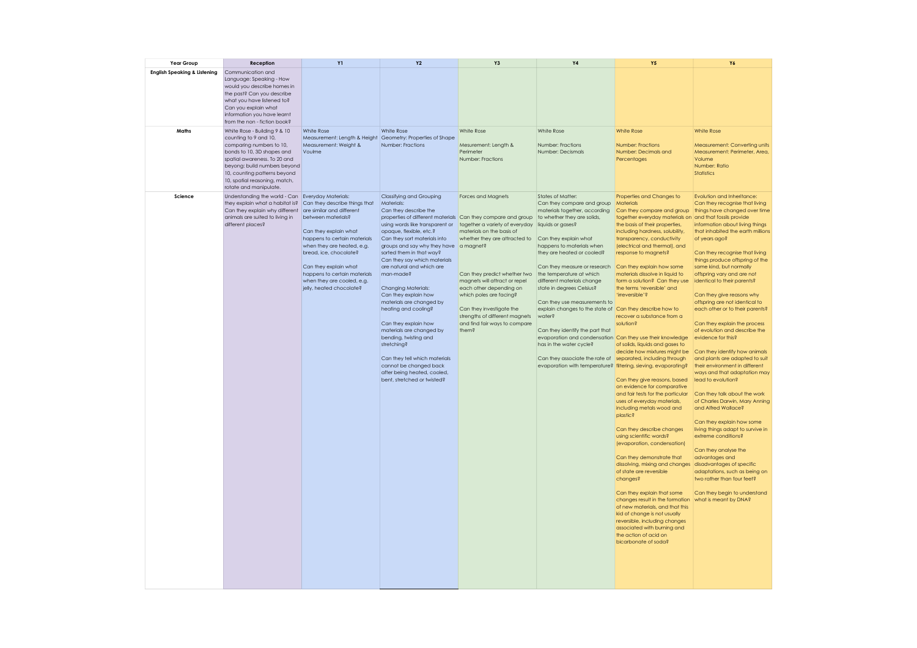| Year Group                              | Reception                                                                                                                                                                                                                                                                  | Y1                                                                                                                                                                                                                                                     | Y <sub>2</sub>                                                                                                                                                                                                                                                                                                                                                                                                                                                                                                                                                                                                                                                       | Y3                                                                                                                                                                                                                                                                                                                                                                                     | Y4                                                                                                                                                                                                                                                                                                                                                                                                                                                                                                                                                                                                                                                                                                 | <b>Y5</b>                                                                                                                                                                                                                                                                                                                                                                                                                                                                                                                                                                                                                                                                                                                                                                                                                                                                                                                                                                                                                                                                                                                                                                  | Y6                                                                                                                                                                                                                                                                                                                                                                                                                                                                                                                                                                                                                                                                                                                                                                                                                                                                                                                                                                                                                                                                                                                  |
|-----------------------------------------|----------------------------------------------------------------------------------------------------------------------------------------------------------------------------------------------------------------------------------------------------------------------------|--------------------------------------------------------------------------------------------------------------------------------------------------------------------------------------------------------------------------------------------------------|----------------------------------------------------------------------------------------------------------------------------------------------------------------------------------------------------------------------------------------------------------------------------------------------------------------------------------------------------------------------------------------------------------------------------------------------------------------------------------------------------------------------------------------------------------------------------------------------------------------------------------------------------------------------|----------------------------------------------------------------------------------------------------------------------------------------------------------------------------------------------------------------------------------------------------------------------------------------------------------------------------------------------------------------------------------------|----------------------------------------------------------------------------------------------------------------------------------------------------------------------------------------------------------------------------------------------------------------------------------------------------------------------------------------------------------------------------------------------------------------------------------------------------------------------------------------------------------------------------------------------------------------------------------------------------------------------------------------------------------------------------------------------------|----------------------------------------------------------------------------------------------------------------------------------------------------------------------------------------------------------------------------------------------------------------------------------------------------------------------------------------------------------------------------------------------------------------------------------------------------------------------------------------------------------------------------------------------------------------------------------------------------------------------------------------------------------------------------------------------------------------------------------------------------------------------------------------------------------------------------------------------------------------------------------------------------------------------------------------------------------------------------------------------------------------------------------------------------------------------------------------------------------------------------------------------------------------------------|---------------------------------------------------------------------------------------------------------------------------------------------------------------------------------------------------------------------------------------------------------------------------------------------------------------------------------------------------------------------------------------------------------------------------------------------------------------------------------------------------------------------------------------------------------------------------------------------------------------------------------------------------------------------------------------------------------------------------------------------------------------------------------------------------------------------------------------------------------------------------------------------------------------------------------------------------------------------------------------------------------------------------------------------------------------------------------------------------------------------|
| <b>English Speaking &amp; Listening</b> | Communication and<br>Language: Speaking - How<br>would you describe homes in<br>the past? Can you describe<br>what you have listened to?<br>Can you explain what<br>information you have learnt<br>from the non - fiction book?                                            |                                                                                                                                                                                                                                                        |                                                                                                                                                                                                                                                                                                                                                                                                                                                                                                                                                                                                                                                                      |                                                                                                                                                                                                                                                                                                                                                                                        |                                                                                                                                                                                                                                                                                                                                                                                                                                                                                                                                                                                                                                                                                                    |                                                                                                                                                                                                                                                                                                                                                                                                                                                                                                                                                                                                                                                                                                                                                                                                                                                                                                                                                                                                                                                                                                                                                                            |                                                                                                                                                                                                                                                                                                                                                                                                                                                                                                                                                                                                                                                                                                                                                                                                                                                                                                                                                                                                                                                                                                                     |
| Maths                                   | White Rose - Building 9 & 10<br>counting to 9 and 10,<br>comparing numbers to 10,<br>bonds to 10, 3D shapes and<br>spatial awareness. To 20 and<br>beyong: build numbers beyond<br>10, counting patterns beyond<br>10, spatial reasoning, match,<br>rotate and manipulate. | White Rose<br>Measurement: Length & Height Geometry: Properties of Shape<br>Measurement: Weight &<br>Voulme                                                                                                                                            | White Rose<br>Number: Fractions                                                                                                                                                                                                                                                                                                                                                                                                                                                                                                                                                                                                                                      | White Rose<br>Mesurement: Length &<br>Perimeter<br>Number: Fractions                                                                                                                                                                                                                                                                                                                   | White Rose<br>Number: Fractions<br>Number: Decismals                                                                                                                                                                                                                                                                                                                                                                                                                                                                                                                                                                                                                                               | <b>White Rose</b><br><b>Number: Fractions</b><br>Number: Decimals and<br>Percentages                                                                                                                                                                                                                                                                                                                                                                                                                                                                                                                                                                                                                                                                                                                                                                                                                                                                                                                                                                                                                                                                                       | <b>White Rose</b><br>Measurement: Converting units<br>Measurement: Perimeter, Area,<br>Volume<br>Number: Ratio<br><b>Statistics</b>                                                                                                                                                                                                                                                                                                                                                                                                                                                                                                                                                                                                                                                                                                                                                                                                                                                                                                                                                                                 |
| Science                                 | Understanding the world - Can Everyday Materials:<br>they explain what a habitat is? Can they describe things that<br>Can they explain why different are similar and different<br>animals are suited to living in<br>different places?                                     | between materials?<br>Can they explain what<br>happens to certain materials<br>when they are heated, e.g.<br>bread, ice, chocolate?<br>Can they explain what<br>happens to certain materials<br>when they are cooled, e.g.<br>jelly, heated chocolate? | Classifying and Grouping<br>Materials:<br>Can they describe the<br>using words like transparent or together a variety of everyday<br>opaque, flexible, etc.?<br>Can they sort materials into<br>groups and say why they have a magnet?<br>sorted them in that way?<br>Can they say which materials<br>are natural and which are<br>man-made?<br>Changing Materials:<br>Can they explain how<br>materials are changed by<br>heating and cooling?<br>Can they explain how<br>materials are changed by<br>bending, twisting and<br>stretching?<br>Can they tell which materials<br>cannot be changed back<br>after being heated, cooled,<br>bent, stretched or twisted? | <b>Forces and Maanets</b><br>properties of different materials Can they compare and group<br>materials on the basis of<br>whether they are attracted to<br>Can they predict whether two<br>magnets will attract or repel<br>each other depending on<br>which poles are facing?<br>Can they investigate the<br>strengths of different magnets<br>and find fair ways to compare<br>them? | States of Matter:<br>Can they compare and group Materials<br>materials together, according<br>to whether they are solids,<br>liquids or gases?<br>Can they explain what<br>happens to materials when<br>they are heated or cooled?<br>Can they measure or research<br>the temperature at which<br>different materials change<br>state in degrees Celsius?<br>Can they use measurements to<br>explain changes to the state of<br>water?<br>Can they identify the part that<br>evaporation and condensation Can they use their knowledge<br>has in the water cycle?<br>Can they associate the rate of separated, including through<br>evaporation with temperature? filtering, sieving, evaporating? | Properties and Changes to<br>together everyday materials on and that fossils provide<br>the basis of their properties,<br>including hardness, solubility,<br>transparency, conductivity<br>(electrical and thermal), and<br>response to magnets?<br>Can they explain how some<br>materials dissolve in liquid to<br>form a solution? Can they use<br>the terms 'reversible' and<br>'irreversible'?<br>Can they describe how to<br>recover a substance from a<br>solution?<br>of solids, liquids and aases to<br>decide how mixtures might be<br>Can they give reasons, based<br>on evidence for comparative<br>and fair tests for the particular<br>uses of everyday materials,<br>including metals wood and<br>plastic?<br>Can they describe changes<br>using scientific words?<br>(evaporation, condensation)<br>Can they demonstrate that<br>dissolving, mixing and changes<br>of state are reversible<br>changes?<br>Can they explain that some<br>changes result in the formation<br>of new materials, and that this<br>kid of change is not usually<br>reversible, including changes<br>associated with burning and<br>the action of acid on<br>bicarbonate of soda? | Evolution and Inheritance:<br>Can they recognise that living<br>Can they compare and group things have changed over time<br>information about living things<br>that inhabited the earth millions<br>of years ago?<br>Can they recognise that living<br>things produce offspring of the<br>same kind, but normally<br>offspring vary and are not<br>identical to their parents?<br>Can they give reasons why<br>offspring are not identical to<br>each other or to their parents?<br>Can they explain the process<br>of evolution and describe the<br>evidence for this?<br>Can they identify how animals<br>and plants are adapted to suit<br>their environment in different<br>ways and that adaptation may<br>lead to evolution?<br>Can they talk about the work<br>of Charles Darwin, Mary Anning<br>and Alfred Wallace?<br>Can they explain how some<br>living things adapt to survive in<br>extreme conditions?<br>Can they analyse the<br>advantages and<br>disadvantages of specific<br>adaptations, such as being on<br>two rather than four feet?<br>Can they begin to understand<br>what is meant by DNA? |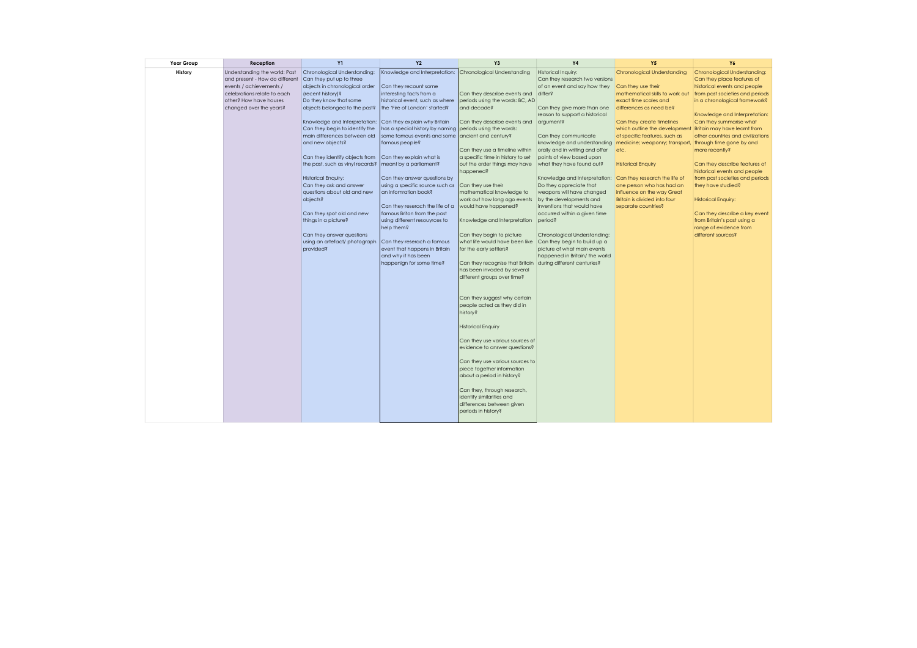| Year Group | Reception                      | <b>Y1</b>                                                  | <b>Y2</b>                       | Y <sub>3</sub>                                              | <b>Y4</b>                       | <b>Y5</b>                                                  | <b>Y6</b>                                                     |
|------------|--------------------------------|------------------------------------------------------------|---------------------------------|-------------------------------------------------------------|---------------------------------|------------------------------------------------------------|---------------------------------------------------------------|
| History    | Understanding the world: Past  | Chronological Understanding:                               | Knowledge and Interpretation:   | Chronological Understanding                                 | Historical Inquiry:             | Chronological Understanding                                | Chronological Understanding:                                  |
|            | and present - How do different | Can they put up to three                                   |                                 |                                                             | Can they research two versions  |                                                            | Can they place features of                                    |
|            | events / achievements /        | objects in chronological order                             | Can they recount some           |                                                             | of an event and say how they    | Can they use their                                         | historical events and people                                  |
|            | celebrations relate to each    | (recent history)?                                          | interesting facts from a        | Can they describe events and                                | differ?                         | mathematical skills to work out                            | from past societies and periods                               |
|            | other? How have houses         | Do they know that some                                     | historical event, such as where | periods using the words: BC, AD                             |                                 | exact time scales and                                      | in a chronological framework?                                 |
|            | changed over the years?        | objects belonged to the past?                              | the 'Fire of London' started?   | and decade?                                                 | Can they give more than one     | differences as need be?                                    |                                                               |
|            |                                |                                                            |                                 |                                                             | reason to support a historical  |                                                            | Knowledge and Interpretation:                                 |
|            |                                | Knowledge and Interpretation: Can they explain why Britain |                                 | Can they describe events and                                | argument?                       | Can they create timelines                                  | Can they summarise what                                       |
|            |                                | Can they begin to identify the                             | has a special history by naming | periods using the words:                                    |                                 | which outline the development Britain may have learnt from |                                                               |
|            |                                | main differences between old                               | some famous events and some     | ancient and century?                                        | Can they communicate            | of specific features, such as                              | other countries and civilizations                             |
|            |                                | and new objects?                                           | famous people?                  |                                                             | knowledge and understanding     | medicine; weaponry; transport, through time gone by and    |                                                               |
|            |                                |                                                            |                                 | Can they use a timeline within                              | orally and in writing and offer | letc.                                                      | more recently?                                                |
|            |                                | Can they identify objects from                             | Can they explain what is        | a specific time in history to set                           | points of view based upon       |                                                            |                                                               |
|            |                                | the past, such as vinyl records?   meant by a parliament?  |                                 | out the order things may have<br>happened?                  | what they have found out?       | <b>Historical Enquiry</b>                                  | Can they describe features of<br>historical events and people |
|            |                                | <b>Historical Enquiry:</b>                                 | Can they answer questions by    |                                                             | Knowledge and Interpretation:   | Can they research the life of                              | from past societies and periods                               |
|            |                                | Can they ask and answer                                    | using a specific source such as | Can they use their                                          | Do they appreciate that         | one person who has had an                                  | they have studied?                                            |
|            |                                | questions about old and new                                | an infomration book?            | mathematical knowledge to                                   | weapons will have changed       | influence on the way Great                                 |                                                               |
|            |                                | objects?                                                   |                                 | work out how long ago events                                | by the developments and         | Britain is divided into four                               | <b>Historical Enquiry:</b>                                    |
|            |                                |                                                            | Can they reserach the life of a | would have happened?                                        | inventions that would have      | separate countries?                                        |                                                               |
|            |                                | Can they spot old and new                                  | famous Briton from the past     |                                                             | occurred within a given time    |                                                            | Can they describe a key event                                 |
|            |                                | things in a picture?                                       | using different resouvrces to   | Knowledge and Interpretation                                | period?                         |                                                            | from Britain's past using a                                   |
|            |                                |                                                            | help them?                      |                                                             |                                 |                                                            | range of evidence from                                        |
|            |                                | Can they answer questions                                  |                                 | Can they begin to picture                                   | Chronological Understanding:    |                                                            | different sources?                                            |
|            |                                | using an artefact/ photograph                              | Can they reserach a famous      | what life would have been like                              | Can they begin to build up a    |                                                            |                                                               |
|            |                                | provided?                                                  | event that happens in Britain   | for the early settlers?                                     | picture of what main events     |                                                            |                                                               |
|            |                                |                                                            | and why it has been             |                                                             | happened in Britain/ the world  |                                                            |                                                               |
|            |                                |                                                            | happenign for some time?        | Can they recognise that Britain                             | during different centuries?     |                                                            |                                                               |
|            |                                |                                                            |                                 | has been invaded by several                                 |                                 |                                                            |                                                               |
|            |                                |                                                            |                                 | different groups over time?                                 |                                 |                                                            |                                                               |
|            |                                |                                                            |                                 |                                                             |                                 |                                                            |                                                               |
|            |                                |                                                            |                                 |                                                             |                                 |                                                            |                                                               |
|            |                                |                                                            |                                 | Can they suggest why certain<br>people acted as they did in |                                 |                                                            |                                                               |
|            |                                |                                                            |                                 | history?                                                    |                                 |                                                            |                                                               |
|            |                                |                                                            |                                 |                                                             |                                 |                                                            |                                                               |
|            |                                |                                                            |                                 | <b>Historical Enquiry</b>                                   |                                 |                                                            |                                                               |
|            |                                |                                                            |                                 |                                                             |                                 |                                                            |                                                               |
|            |                                |                                                            |                                 | Can they use various sources of                             |                                 |                                                            |                                                               |
|            |                                |                                                            |                                 | evidence to answer questions?                               |                                 |                                                            |                                                               |
|            |                                |                                                            |                                 |                                                             |                                 |                                                            |                                                               |
|            |                                |                                                            |                                 | Can they use various sources to                             |                                 |                                                            |                                                               |
|            |                                |                                                            |                                 | piece together information                                  |                                 |                                                            |                                                               |
|            |                                |                                                            |                                 | about a period in history?                                  |                                 |                                                            |                                                               |
|            |                                |                                                            |                                 |                                                             |                                 |                                                            |                                                               |
|            |                                |                                                            |                                 | Can they, through research,                                 |                                 |                                                            |                                                               |
|            |                                |                                                            |                                 | identify similarities and                                   |                                 |                                                            |                                                               |
|            |                                |                                                            |                                 | differences between given                                   |                                 |                                                            |                                                               |
|            |                                |                                                            |                                 | periods in history?                                         |                                 |                                                            |                                                               |
|            |                                |                                                            |                                 |                                                             |                                 |                                                            |                                                               |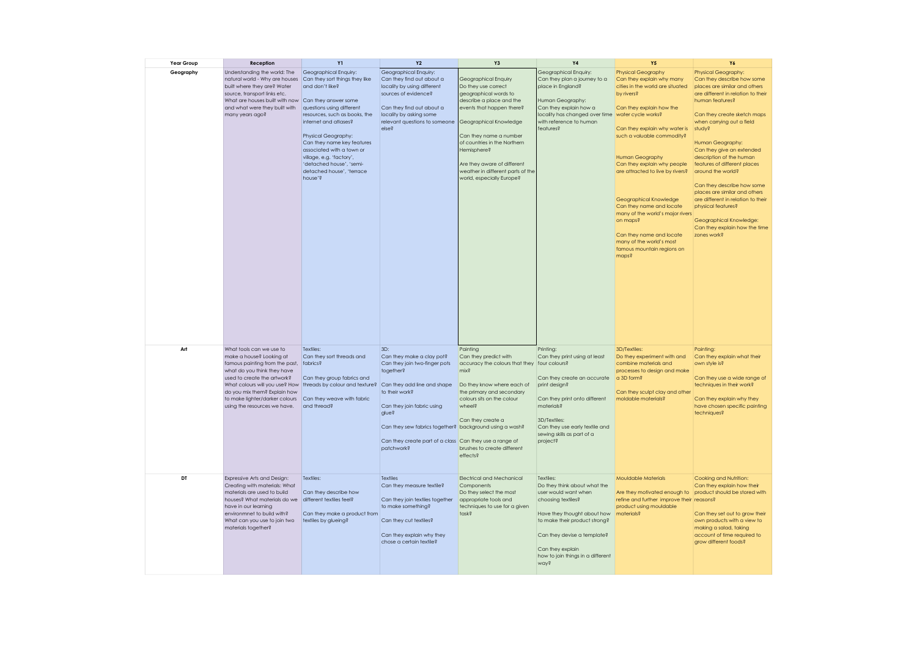| Year Group | Reception                                                                                                                                                                                                                                                       | <b>Y1</b>                                                                                                                                                                                                                                                                                                                                           | <b>Y2</b>                                                                                                                                                                                                                                                                   | Y3                                                                                                                                                                                                                                                                                                                                | <b>Y4</b>                                                                                                                                                                                                                                               | <b>Y5</b>                                                                                                                                                                                                                                                                                                                                                                                                                                                                                             | Y6                                                                                                                                                                                                                                                                                                                                                                                                                                                                                                                                                        |
|------------|-----------------------------------------------------------------------------------------------------------------------------------------------------------------------------------------------------------------------------------------------------------------|-----------------------------------------------------------------------------------------------------------------------------------------------------------------------------------------------------------------------------------------------------------------------------------------------------------------------------------------------------|-----------------------------------------------------------------------------------------------------------------------------------------------------------------------------------------------------------------------------------------------------------------------------|-----------------------------------------------------------------------------------------------------------------------------------------------------------------------------------------------------------------------------------------------------------------------------------------------------------------------------------|---------------------------------------------------------------------------------------------------------------------------------------------------------------------------------------------------------------------------------------------------------|-------------------------------------------------------------------------------------------------------------------------------------------------------------------------------------------------------------------------------------------------------------------------------------------------------------------------------------------------------------------------------------------------------------------------------------------------------------------------------------------------------|-----------------------------------------------------------------------------------------------------------------------------------------------------------------------------------------------------------------------------------------------------------------------------------------------------------------------------------------------------------------------------------------------------------------------------------------------------------------------------------------------------------------------------------------------------------|
| Geography  | Understanding the world: The<br>natural world - Why are houses<br>built where they are? Water<br>source, transport links etc.<br>What are houses built with now Can they answer some<br>and what were they built with<br>many years ago?                        | Geographical Enquiry:<br>Can they sort things they like<br>and don't like?<br>questions using different<br>resources, such as books, the<br>internet and atlases?<br>Physical Geography:<br>Can they name key features<br>associated with a town or<br>village, e.g. 'factory',<br>'detached house', 'semi-<br>detached house', 'terrace<br>house'? | Geographical Enquiry:<br>Can they find out about a<br>locality by using different<br>sources of evidence?<br>Can they find out about a<br>locality by asking some<br>relevant questions to someone<br>else?                                                                 | Geographical Enquiry<br>Do they use correct<br>geographical words to<br>describe a place and the<br>events that happen there?<br>Geographical Knowledge<br>Can they name a number<br>of countries in the Northern<br>Hemisphere?<br>Are they aware of different<br>weather in different parts of the<br>world, especially Europe? | Geographical Enquiry:<br>Can they plan a journey to a<br>place in England?<br>Human Geography:<br>Can they explain how a<br>locality has changed over time water cycle works?<br>with reference to human<br>features?                                   | <b>Physical Geography</b><br>Can they explain why many<br>cities in the world are situated<br>by rivers?<br>Can they explain how the<br>Can they explain why water is<br>such a valuable commodity?<br><b>Human Geography</b><br>Can they explain why people<br>are attracted to live by rivers?<br>Geographical Knowledge<br>Can they name and locate<br>many of the world's major rivers<br>on maps?<br>Can they name and locate<br>many of the world's most<br>famous mountain regions on<br>maps? | Physical Geography:<br>Can they describe how some<br>places are similar and others<br>are different in relation to their<br>human features?<br>Can they create sketch maps<br>when carrying out a field<br>study?<br>Human Geography:<br>Can they give an extended<br>description of the human<br>features of different places<br>around the world?<br>Can they describe how some<br>places are similar and others<br>are different in relation to their<br>physical features?<br>Geographical Knowledge:<br>Can they explain how the time<br>zones work? |
| Art        | What tools can we use to<br>make a house? Looking at<br>famous painting from the past, fabrics?<br>what do you think they have<br>used to create the artwork?<br>do you mix them? Explain how<br>to make lighter/darker colours<br>using the resources we have. | Textiles:<br>Can they sort threads and<br>Can they group fabrics and<br>What colours will you use? How threads by colour and texture? Can they add line and shape<br>Can they weave with fabric<br>and thread?                                                                                                                                      | 3D:<br>Can they make a clay pot?<br>Can they join two-finger pots<br>together?<br>to their work?<br>Can they join fabric using<br>glue?<br>Can they sew fabrics together? background using a wash?<br>Can they create part of a class Can they use a range of<br>patchwork? | Painting<br>Can they predict with<br>accuracy the colours that they<br>mix?<br>Do they know where each of<br>the primary and secondary<br>colours sits on the colour<br>wheel?<br>Can they create a<br>brushes to create different<br>effects <sup>2</sup>                                                                        | Printing:<br>Can they print using at least<br>four colours?<br>Can they create an accurate<br>print design?<br>Can they print onto different<br>materials?<br>3D/Textiles:<br>Can they use early textile and<br>sewing skills as part of a<br>project?  | 3D/Textiles:<br>Do they experiment with and<br>combine materials and<br>processes to design and make<br>a 3D form?<br>Can they sculpt clay and other<br>moldable materials?                                                                                                                                                                                                                                                                                                                           | Painting:<br>Can they explain what their<br>own style is?<br>Can they use a wide range of<br>techniques in their work?<br>Can they explain why they<br>have chosen specific painting<br>techniques?                                                                                                                                                                                                                                                                                                                                                       |
| DT         | Expressive Arts and Design:<br>Creating with materials: What<br>materials are used to build<br>houses? What materials do we<br>have in our learning<br>environmnet to build with?<br>What can you use to join two<br>materials together?                        | Textiles:<br>Can they describe how<br>different textiles feel?<br>Can they make a product from<br>textiles by glueing?                                                                                                                                                                                                                              | <b>Textiles</b><br>Can they measure textile?<br>Can they join textiles together<br>to make something?<br>Can they cut textiles?<br>Can they explain why they<br>chose a certain textile?                                                                                    | Electrical and Mechanical<br>Components<br>Do they select the most<br>appropriate tools and<br>techniques to use for a given<br>s <sub>star</sub>                                                                                                                                                                                 | Textiles:<br>Do they think about what the<br>user would want when<br>choosing textiles?<br>Have they thought about how<br>to make their product strong?<br>Can they devise a template?<br>Can they explain<br>how to join things in a different<br>way? | Mouldable Materials<br>Are they motivated enough to<br>refine and further improve their reasons?<br>product using mouldable<br>materials?                                                                                                                                                                                                                                                                                                                                                             | Cooking and Nutrition:<br>Can they explain how their<br>product should be stored with<br>Can they set out to grow their<br>own products with a view to<br>making a salad, taking<br>account of time required to<br>grow different foods?                                                                                                                                                                                                                                                                                                                  |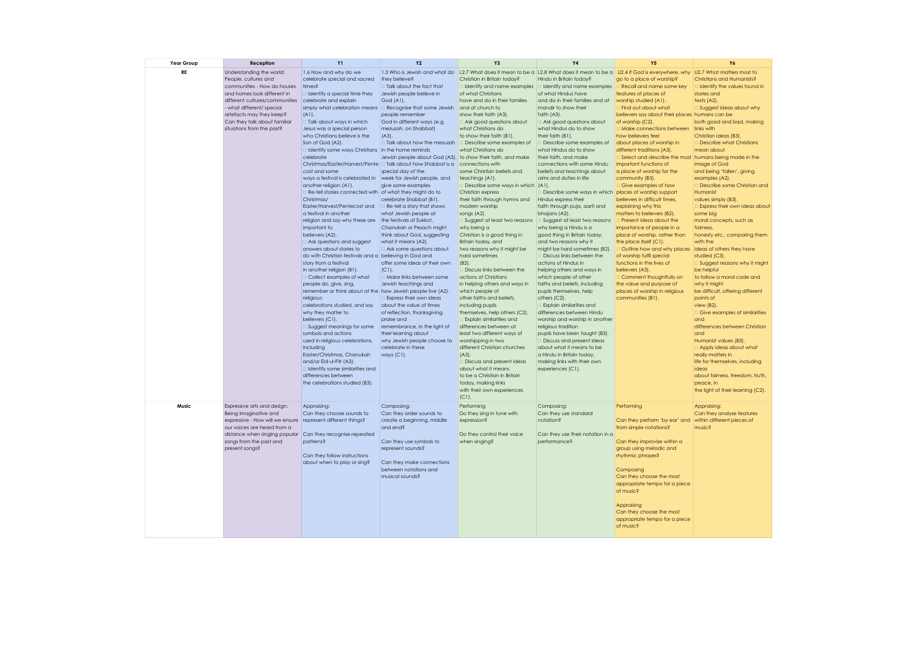| Year Group | Reception                                                                                                                                                                                                                                                            | Y1                                                                                                                                                                                                                                                                                                                                                                                                                                                                                                                                                                                                                                                                                                                                                                                                                                                                                                                                                                                                                                                                                                                                                                                                                                                                                                                                                                                                                                                                               | Y <sub>2</sub>                                                                                                                                                                                                                                                                                                                                                                                                                                                                                                                                                                                                                                                                                                                                                                                                                                                                                         | Y3                                                                                                                                                                                                                                                                                                                                                                                                                                                                                                                                                                                                                                                                                                                                                                                                                                                                                                                                                                                                                                                                                                                            | <b>Y4</b>                                                                                                                                                                                                                                                                                                                                                                                                                                                                                                                                                                                                                                                                                                                                                                                                                                                                                                                                                                                                                                                                                                                                                                                          | <b>Y5</b>                                                                                                                                                                                                                                                                                                                                                                                                                                                                                                                                                                                                                                                                                                                                                                                                                                                                                                                                                                                                                                                                                              | Y6                                                                                                                                                                                                                                                                                                                                                                                                                                                                                                                                                                                                                                                                                                                                                                                                                                                                                                                                                                                      |
|------------|----------------------------------------------------------------------------------------------------------------------------------------------------------------------------------------------------------------------------------------------------------------------|----------------------------------------------------------------------------------------------------------------------------------------------------------------------------------------------------------------------------------------------------------------------------------------------------------------------------------------------------------------------------------------------------------------------------------------------------------------------------------------------------------------------------------------------------------------------------------------------------------------------------------------------------------------------------------------------------------------------------------------------------------------------------------------------------------------------------------------------------------------------------------------------------------------------------------------------------------------------------------------------------------------------------------------------------------------------------------------------------------------------------------------------------------------------------------------------------------------------------------------------------------------------------------------------------------------------------------------------------------------------------------------------------------------------------------------------------------------------------------|--------------------------------------------------------------------------------------------------------------------------------------------------------------------------------------------------------------------------------------------------------------------------------------------------------------------------------------------------------------------------------------------------------------------------------------------------------------------------------------------------------------------------------------------------------------------------------------------------------------------------------------------------------------------------------------------------------------------------------------------------------------------------------------------------------------------------------------------------------------------------------------------------------|-------------------------------------------------------------------------------------------------------------------------------------------------------------------------------------------------------------------------------------------------------------------------------------------------------------------------------------------------------------------------------------------------------------------------------------------------------------------------------------------------------------------------------------------------------------------------------------------------------------------------------------------------------------------------------------------------------------------------------------------------------------------------------------------------------------------------------------------------------------------------------------------------------------------------------------------------------------------------------------------------------------------------------------------------------------------------------------------------------------------------------|----------------------------------------------------------------------------------------------------------------------------------------------------------------------------------------------------------------------------------------------------------------------------------------------------------------------------------------------------------------------------------------------------------------------------------------------------------------------------------------------------------------------------------------------------------------------------------------------------------------------------------------------------------------------------------------------------------------------------------------------------------------------------------------------------------------------------------------------------------------------------------------------------------------------------------------------------------------------------------------------------------------------------------------------------------------------------------------------------------------------------------------------------------------------------------------------------|--------------------------------------------------------------------------------------------------------------------------------------------------------------------------------------------------------------------------------------------------------------------------------------------------------------------------------------------------------------------------------------------------------------------------------------------------------------------------------------------------------------------------------------------------------------------------------------------------------------------------------------------------------------------------------------------------------------------------------------------------------------------------------------------------------------------------------------------------------------------------------------------------------------------------------------------------------------------------------------------------------------------------------------------------------------------------------------------------------|-----------------------------------------------------------------------------------------------------------------------------------------------------------------------------------------------------------------------------------------------------------------------------------------------------------------------------------------------------------------------------------------------------------------------------------------------------------------------------------------------------------------------------------------------------------------------------------------------------------------------------------------------------------------------------------------------------------------------------------------------------------------------------------------------------------------------------------------------------------------------------------------------------------------------------------------------------------------------------------------|
| RE         | Understanding the world:<br>People, cultures and<br>communities - How do houses<br>and homes look different in<br>different cultures/communities<br>what different/ special<br>artefacts may they keep?<br>Can they talk about familiar<br>situations from the past? | 1.6 How and why do we<br>celebrate special and sacred<br>times?<br>$\Box$ Identify a special time they<br>celebrate and explain<br>simply what celebration means $\Box$ Recognise that some Jewish and at church to<br>$(A)$ .<br>□ Talk about ways in which<br>Jesus was a special person<br>who Christians believe is the<br>Son of God (A2).<br>I Identify some ways Christians in the home reminds<br>celebrate<br>Christmas/Easter/Harvest/Pente □ Talk about how Shabbat is a connections with<br>cost and some<br>ways a festival is celebrated in<br>another religion (A1).<br>□ Re-tell stories connected with of what they might do to<br>Christmas/<br>Easter/Harvest/Pentecost and<br>a festival in another<br>religion and say why these are the festivals of Sukkot,<br>important to<br>believers (A2).<br>$\Box$ Ask questions and suggest<br>answers about stories to<br>do with Christian festivals and a believing in God and<br>story from a festival<br>in another religion (B1).<br>□ Collect examples of what<br>people do, give, sing,<br>remember or think about at the how Jewish people live (A2).<br>religious<br>celebrations studied, and say<br>why they matter to<br>believers (C1).<br>□ Suggest meanings for some<br>symbols and actions<br>used in religious celebrations,<br>including<br>Easter/Christmas, Chanukah<br>and/or Eid-ul-Fitr (A3).<br>I Identify some similarities and<br>differences between<br>the celebrations studied (B3). | they believe?<br>I Talk about the fact that<br>Jewish people believe in<br>God (A1).<br>people remember<br>God in different ways (e.g.<br>mezuzah, on Shabbat)<br>$(A3)$ .<br>□ Talk about how the mezuzah<br>Jewish people about God (A3). to show their faith, and make<br>special day of the<br>week for Jewish people, and<br>give some examples<br>celebrate Shabbat (B1).<br>$\Box$ Re-tell a story that shows<br>what Jewish people at<br>Chanukah or Pesach might<br>think about God, suggesting<br>what it means (A2).<br>$\Box$ Ask some questions about<br>offer some ideas of their own<br>$(C)$ .<br>□ Make links between some<br>Jewish teachings and<br>Express their own ideas<br>about the value of times<br>of reflection, thanksgiving,<br>praise and<br>remembrance, in the light of<br>their learning about<br>why Jewish people choose to<br>celebrate in these<br>ways $(C1)$ . | Christian in Britain today?<br>dentify and name examples<br>of what Christians<br>have and do in their families<br>show their faith (A3).<br>$\Box$ Ask good questions about<br>what Christians do<br>to show their faith (B1).<br>Describe some examples of<br>what Christians do<br>some Christian beliefs and<br>teachings (A1).<br>Describe some ways in which (A1).<br>Christian express<br>their faith through hymns and<br>modern worship<br>songs (A2).<br>Suggest at least two reasons<br>why being a<br>Christian is a good thing in<br>Britain today, and<br>two reasons why it might be<br>hard sometimes<br>$(B2)$ .<br>Discuss links between the<br>actions of Christians<br>in helping others and ways in<br>which people of<br>other faiths and beliefs,<br>including pupils<br>themselves, help others (C2).<br>Explain similarities and<br>differences between at<br>least two different ways of<br>worshipping in two<br>different Christian churches<br>$(A3)$ .<br>Discuss and present ideas<br>about what it means<br>to be a Christian in Britain<br>today, making links<br>with their own experiences | Hindu in Britain today?<br>didentify and name examples<br>of what Hindus have<br>and do in their families and at<br>mandir to show their<br>faith (A3).<br>□ Ask good questions about<br>what Hindus do to show<br>their faith (B1).<br>Describe some examples of<br>what Hindus do to show<br>their faith, and make<br>connections with some Hindu<br>beliefs and teachings about<br>aims and duties in life<br>Describe some ways in which places of worship support<br>Hindus express their<br>faith through puja, aarti and<br>bhajans (A2).<br>Suggest at least two reasons<br>why being a Hindu is a<br>good thing in Britain today,<br>and two reasons why it<br>might be hard sometimes (B2).<br><b>Discuss links between the</b><br>actions of Hindus in<br>helping others and ways in<br>which people of other<br>faiths and beliefs, including<br>pupils themselves, help<br>others (C2).<br>Explain similarities and<br>differences between Hindu<br>worship and worship in another<br>religious tradition<br>pupils have been taught (B3).<br>Discuss and present ideas<br>about what it means to be<br>a Hindu in Britain today,<br>making links with their own<br>experiences (C1). | 1.3 Who is Jewish and what do  L2.7 What does it mean to be a  L2.8 What does it mean to be a  L2.4 If God is everywhere, why  U2.7 What matters most to<br>go to a place of worship?<br>Recall and name some key<br>features of places of<br>worship studied (A1).<br>Find out about what<br>believers say about their places humans can be<br>of worship (C2).<br>Make connections between<br>how believers feel<br>about places of worship in<br>different traditions (A3).<br>Select and describe the most humans being made in the<br>important functions of<br>a place of worship for the<br>community (B3).<br>Give examples of how<br>believers in difficult times,<br>explaining why this<br>matters to believers (B2).<br>Present ideas about the<br>importance of people in a<br>place of worship, rather than<br>the place itself (C1).<br>Outline how and why places ideas of others they have<br>of worship fulfil special<br>functions in the lives of<br>believers (A3).<br>Comment thoughtfully on<br>the value and purpose of<br>places of worship in religious<br>communities (B1). | Christians and Humanists?<br>I Identify the values found in<br>stories and<br>texts (A2).<br>Suggest ideas about why<br>both good and bad, making<br>links with<br>Christian ideas (B3).<br>Describe what Christians<br>mean about<br>image of God<br>and being 'fallen', giving<br>examples (A2).<br>Describe some Christian and<br>Humanist<br>values simply (B3).<br>Express their own ideas about<br>some big<br>moral concepts, such as<br>fairness,<br>honesty etc., comparing them<br>with the<br>studied (C3).<br>$\Box$ Suggest reasons why it might<br>be helpful<br>to follow a moral code and<br>why it might<br>be difficult, offering different<br>points of<br>view (B2).<br>$\Box$ Give examples of similarities<br>and<br>differences between Christian<br>and<br>Humanist values (B3).<br>Apply ideas about what<br>really matters in<br>life for themselves, including<br>ideas<br>about fairness, freedom, truth,<br>peace, in<br>the light of their learning (C2). |
| Music      | Expressive arts and design:<br>Being imaginative and<br>expressive - How will we ensure<br>our voices are heard from a<br>distance when singing popular<br>songs from the past and<br>present songs?                                                                 | Appraising:<br>Can they choose sounds to<br>represent different things?<br>Can they recognise repeated<br>patterns?<br>Can they follow instructions<br>about when to play or sing?                                                                                                                                                                                                                                                                                                                                                                                                                                                                                                                                                                                                                                                                                                                                                                                                                                                                                                                                                                                                                                                                                                                                                                                                                                                                                               | Composing:<br>Can they order sounds to<br>create a beginning, middle<br>and end?<br>Can they use symbols to<br>represent sounds?<br>Can they make connections<br>between notations and<br>musical sounds?                                                                                                                                                                                                                                                                                                                                                                                                                                                                                                                                                                                                                                                                                              | $(C1)$ .<br>Performing<br>Do they sing in tune with<br>expression?<br>Do they control their voice<br>when singing?                                                                                                                                                                                                                                                                                                                                                                                                                                                                                                                                                                                                                                                                                                                                                                                                                                                                                                                                                                                                            | Composing:<br>Can they use standard<br>notation?<br>Can they use their notation in a<br>performance?                                                                                                                                                                                                                                                                                                                                                                                                                                                                                                                                                                                                                                                                                                                                                                                                                                                                                                                                                                                                                                                                                               | Performing<br>Can they perform 'by ear' and<br>from simple notations?<br>Can they improvise within a<br>group using melodic and<br>rhythmic phrases?<br>Composing<br>Can they choose the most<br>appropriate tempo for a piece<br>of music?<br>Appraising<br>Can they choose the most<br>appropriate tempo for a piece<br>of music?                                                                                                                                                                                                                                                                                                                                                                                                                                                                                                                                                                                                                                                                                                                                                                    | Appraising:<br>Can they analyse features<br>within different pieces of<br>music?                                                                                                                                                                                                                                                                                                                                                                                                                                                                                                                                                                                                                                                                                                                                                                                                                                                                                                        |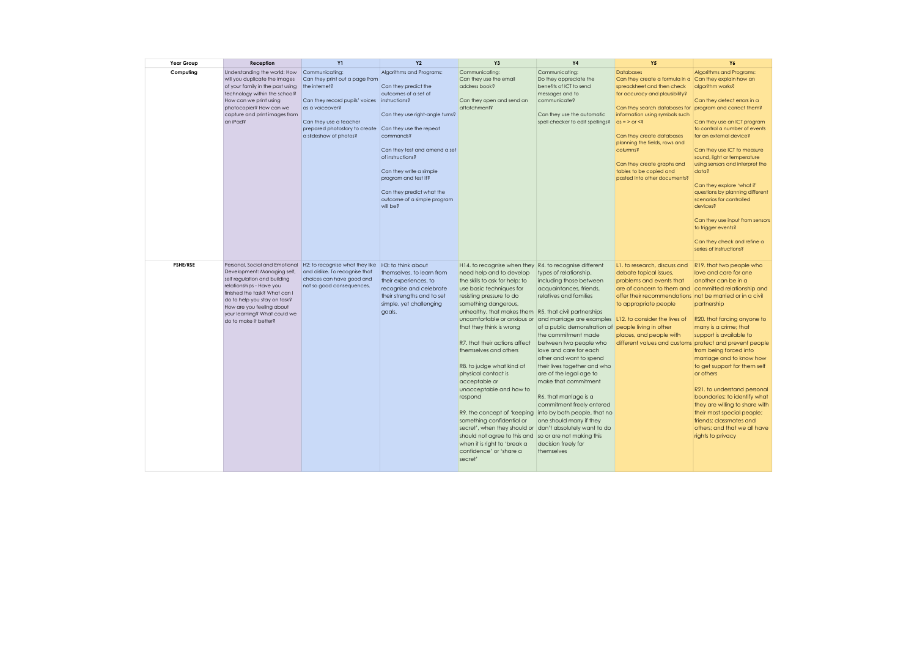| Year Group | Reception                                                                                                                                                                                                                                                                        | <b>Y1</b>                                                                                                                                                                                                                                         | <b>Y2</b>                                                                                                                                                                                                                                                                                                | Y3                                                                                                                                                                                                                                                                                                                                                                                                                                                                                                                                                                                                                                        | <b>Y4</b>                                                                                                                                                                                                                                                                                                                                                                                                                                                                                                                                                                                                                                                                                          | <b>Y5</b>                                                                                                                                                                                                                                                                                                                                                                                                                                      | Y6                                                                                                                                                                                                                                                                                                                                                                                                                                                                                                           |
|------------|----------------------------------------------------------------------------------------------------------------------------------------------------------------------------------------------------------------------------------------------------------------------------------|---------------------------------------------------------------------------------------------------------------------------------------------------------------------------------------------------------------------------------------------------|----------------------------------------------------------------------------------------------------------------------------------------------------------------------------------------------------------------------------------------------------------------------------------------------------------|-------------------------------------------------------------------------------------------------------------------------------------------------------------------------------------------------------------------------------------------------------------------------------------------------------------------------------------------------------------------------------------------------------------------------------------------------------------------------------------------------------------------------------------------------------------------------------------------------------------------------------------------|----------------------------------------------------------------------------------------------------------------------------------------------------------------------------------------------------------------------------------------------------------------------------------------------------------------------------------------------------------------------------------------------------------------------------------------------------------------------------------------------------------------------------------------------------------------------------------------------------------------------------------------------------------------------------------------------------|------------------------------------------------------------------------------------------------------------------------------------------------------------------------------------------------------------------------------------------------------------------------------------------------------------------------------------------------------------------------------------------------------------------------------------------------|--------------------------------------------------------------------------------------------------------------------------------------------------------------------------------------------------------------------------------------------------------------------------------------------------------------------------------------------------------------------------------------------------------------------------------------------------------------------------------------------------------------|
| Computing  | Understanding the world: How<br>will you duplicate the images<br>of your family in the past using<br>technology within the school?<br>How can we print using<br>photocopier? How can we<br>capture and print images from<br>an iPad?                                             | Communicating:<br>Can they print out a page from<br>the internet?<br>Can they record pupils' voices instructions?<br>as a voiceover?<br>Can they use a teacher<br>prepared photostory to create Can they use the repeat<br>a slideshow of photos? | Algorithms and Programs:<br>Can they predict the<br>outcomes of a set of<br>Can they use right-angle turns?<br>commands?<br>Can they test and amend a set<br>of instructions?<br>Can they write a simple<br>program and test it?<br>Can they predict what the<br>outcome of a simple program<br>will be? | Communicating:<br>Can they use the email<br>address book?<br>Can they open and send an<br>attatchment?                                                                                                                                                                                                                                                                                                                                                                                                                                                                                                                                    | Communicating:<br>Do they appreciate the<br>benefits of ICT to send<br>messages and to<br>communicate?<br>Can they use the automatic<br>spell checker to edit spellings?                                                                                                                                                                                                                                                                                                                                                                                                                                                                                                                           | <b>Databases</b><br>Can they create a formula in a Can they explain how an<br>spreadsheet and then check<br>for accuracy and plausibility?<br>Can they search databases for program and correct them?<br>information using symbols such<br>$\alpha s = \alpha r < \epsilon$<br>Can they create databases<br>planning the fields, rows and<br>columns?<br>Can they create graphs and<br>tables to be copied and<br>pasted into other documents? | Algorithms and Programs:<br>algorithm works?<br>Can they detect errors in a<br>Can they use an ICT program<br>to control a number of events<br>for an external device?<br>Can they use ICT to measure<br>sound, light or temperature<br>using sensors and interpret the<br>data?<br>Can they explore 'what if'<br>questions by planning different<br>scenarios for controlled<br>devices?<br>Can they use input from sensors<br>to trigger events?<br>Can they check and refine a<br>series of instructions? |
| PSHE/RSE   | Personal, Social and Emotional<br>Development: Managing self,<br>self regulation and building<br>relationships - Have you<br>finished the task? What can I<br>do to help you stay on task?<br>How are you feeling about<br>your learning? What could we<br>do to make it better? | H2: to recognise what they like H3: to think about<br>and dislike. To recognise that<br>choices can have good and<br>not so good consequences.                                                                                                    | themselves, to learn from<br>their experiences, to<br>recognise and celebrate<br>their strengths and to set<br>simple, yet challenging<br>goals.                                                                                                                                                         | H14, to recognise when they<br>need help and to develop<br>the skills to ask for help; to<br>use basic techniques for<br>resisting pressure to do<br>something dangerous,<br>unhealthy, that makes them<br>uncomfortable or anxious or<br>that they think is wrong<br>R7, that their actions affect<br>themselves and others<br>R8. to judge what kind of<br>physical contact is<br>acceptable or<br>unacceptable and how to<br>respond<br>R9. the concept of 'keeping<br>something confidential or<br>secret', when they should or<br>should not agree to this and<br>when it is right to 'break a<br>confidence' or 'share a<br>secret' | R4, to recognise different<br>types of relationship,<br>including those between<br>acquaintances, friends,<br>relatives and families<br>R5. that civil partnerships<br>and marriage are examples L12. to consider the lives of<br>of a public demonstration of people living in other<br>the commitment made<br>between two people who<br>love and care for each<br>other and want to spend<br>their lives together and who<br>are of the legal age to<br>make that commitment<br>R6. that marriage is a<br>commitment freely entered<br>into by both people, that no<br>one should marry if they<br>don't absolutely want to do<br>so or are not making this<br>decision freely for<br>themselves | L1. to research, discuss and<br>debate topical issues,<br>problems and events that<br>are of concern to them and committed relationship and<br>offer their recommendations not be married or in a civil<br>to appropriate people<br>places, and people with<br>different values and customs protect and prevent people                                                                                                                         | R19, that two people who<br>love and care for one<br>another can be in a<br>partnership<br>R20. that forcing anyone to<br>marry is a crime; that<br>support is available to<br>from being forced into<br>marriage and to know how<br>to get support for them self<br>or others<br>R21, to understand personal<br>boundaries; to identify what<br>they are willing to share with<br>their most special people;<br>friends: classmates and<br>others; and that we all have<br>rights to privacy                |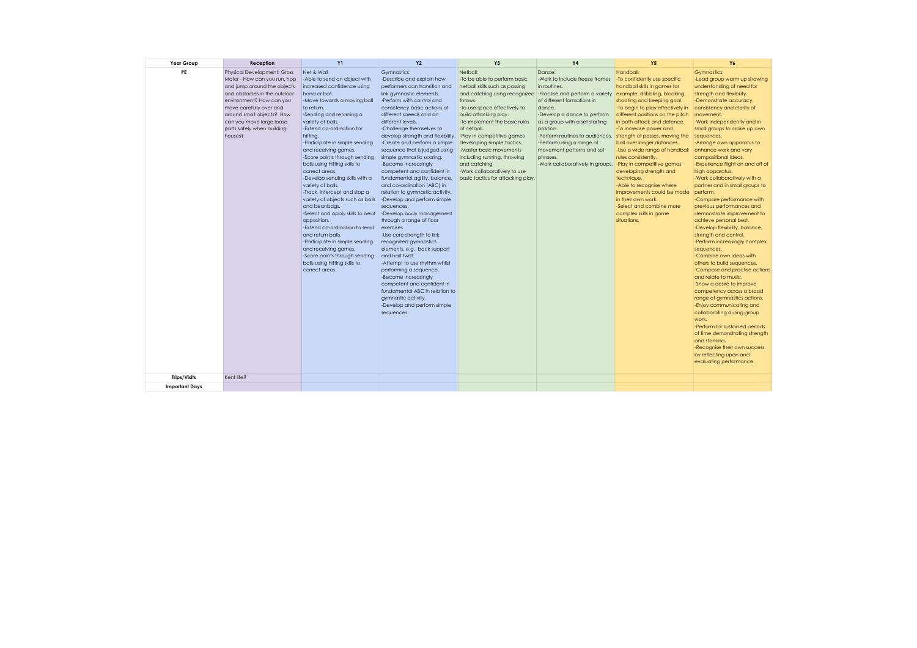| Year Group            | Reception                                                                                                                                                                                                                                                                                  | <b>Y1</b>                                                                                                                                                                                                                                                                                                                                                                                                                                                                                                                                                                                                                                                                                                                                                                        | <b>Y2</b>                                                                                                                                                                                                                                                                                                                                                                                                                                                                                                                                                                                                                                                                                                                                                                                                                                                                                                                                                                                     | Y <sub>3</sub>                                                                                                                                                                                                                                                                                                                                                                                                                                                              | <b>Y4</b>                                                                                                                                                                                                                                                                                                                                              | <b>Y5</b>                                                                                                                                                                                                                                                                                                                                                                                                                                                                                                                                                                                        | Y6                                                                                                                                                                                                                                                                                                                                                                                                                                                                                                                                                                                                                                                                                                                                                                                                                                                                                                                                                                                                                                                                                                                                                                 |
|-----------------------|--------------------------------------------------------------------------------------------------------------------------------------------------------------------------------------------------------------------------------------------------------------------------------------------|----------------------------------------------------------------------------------------------------------------------------------------------------------------------------------------------------------------------------------------------------------------------------------------------------------------------------------------------------------------------------------------------------------------------------------------------------------------------------------------------------------------------------------------------------------------------------------------------------------------------------------------------------------------------------------------------------------------------------------------------------------------------------------|-----------------------------------------------------------------------------------------------------------------------------------------------------------------------------------------------------------------------------------------------------------------------------------------------------------------------------------------------------------------------------------------------------------------------------------------------------------------------------------------------------------------------------------------------------------------------------------------------------------------------------------------------------------------------------------------------------------------------------------------------------------------------------------------------------------------------------------------------------------------------------------------------------------------------------------------------------------------------------------------------|-----------------------------------------------------------------------------------------------------------------------------------------------------------------------------------------------------------------------------------------------------------------------------------------------------------------------------------------------------------------------------------------------------------------------------------------------------------------------------|--------------------------------------------------------------------------------------------------------------------------------------------------------------------------------------------------------------------------------------------------------------------------------------------------------------------------------------------------------|--------------------------------------------------------------------------------------------------------------------------------------------------------------------------------------------------------------------------------------------------------------------------------------------------------------------------------------------------------------------------------------------------------------------------------------------------------------------------------------------------------------------------------------------------------------------------------------------------|--------------------------------------------------------------------------------------------------------------------------------------------------------------------------------------------------------------------------------------------------------------------------------------------------------------------------------------------------------------------------------------------------------------------------------------------------------------------------------------------------------------------------------------------------------------------------------------------------------------------------------------------------------------------------------------------------------------------------------------------------------------------------------------------------------------------------------------------------------------------------------------------------------------------------------------------------------------------------------------------------------------------------------------------------------------------------------------------------------------------------------------------------------------------|
| PE                    | <b>Physical Development: Gross</b><br>Motor - How can you run, hop<br>and jump around the objects<br>and obstacles in the outdoor<br>environment? How can you<br>move carefully over and<br>around small objects? How<br>can you move large loose<br>parts safely when building<br>houses? | Net & Wall<br>-Able to send an object with<br>increased confidence using<br>hand or bat.<br>-Move towards a moving ball<br>to return.<br>-Sending and returning a<br>variety of balls.<br>-Extend co-ordination for<br>hitting.<br>-Participate in simple sending<br>and receiving games.<br>-Score points through sending<br>balls using hitting skills to<br>correct areas.<br>-Develop sending skills with a<br>variety of balls.<br>-Track, intercept and stop a<br>variety of objects such as balls<br>and beanbags.<br>-Select and apply skills to beat<br>opposition.<br>-Extend co-ordination to send<br>and return balls.<br>-Participate in simple sending<br>and receiving games.<br>-Score points through sending<br>balls using hitting skills to<br>correct areas. | Gymnastics:<br>-Describe and explain how<br>performers can transition and<br>link gymnastic elements.<br>-Perform with control and<br>consistency basic actions at<br>different speeds and on<br>different levels.<br>-Challenge themselves to<br>develop strength and flexibility.<br>-Create and perform a simple<br>sequence that is judged using<br>simple gymnastic scoring.<br>-Become increasingly<br>competent and confident in<br>fundamental agility, balance,<br>and co-ordination (ABC) in<br>relation to gymnastic activity.<br>-Develop and perform simple<br>sequences.<br>-Develop body management<br>through a range of floor<br>exercises.<br>-Use core strength to link<br>recognized gymnastics<br>elements, e.g., back support<br>and half twist.<br>-Attempt to use rhythm whilst<br>performing a sequence.<br>-Become increasingly<br>competent and confident in<br>fundamental ABC in relation to<br>gymnastic activity.<br>-Develop and perform simple<br>sequences. | Netball:<br>-To be able to perform basic<br>netball skills such as passing<br>and catching using recognized -Practise and perform a variety<br>throws.<br>-To use space effectively to<br>build attacking play.<br>-To implement the basic rules<br>of netball.<br>-Play in competitive games<br>developing simple tactics.<br>-Master basic movements<br>including running, throwing<br>and catching.<br>-Work collaboratively to use<br>basic tactics for attacking play. | Dance:<br>-Work to include freeze frames<br>in routines.<br>of different formations in<br>dance.<br>-Develop a dance to perform<br>as a group with a set starting<br>position.<br>-Perform routines to audiences.<br>-Perform using a range of<br>movement patterns and set<br>phrases.<br>-Work collaboratively in groups. -Play in competitive games | Handball:<br>-To confidently use specific<br>handball skills in games for<br>example: dribbling, blocking,<br>shooting and keeping goal.<br>-To begin to play effectively in<br>different positions on the pitch<br>in both attack and defence.<br>-To increase power and<br>strength of passes, moving the<br>ball over longer distances.<br>-Use a wide range of handball<br>rules consistently.<br>developing strength and<br>technique.<br>-Able to recognise where<br>improvements could be made<br>in their own work.<br>-Select and combine more<br>complex skills in game<br>situations. | <b>Gymnastics:</b><br>-Lead group warm up showing<br>understanding of need for<br>strength and flexibility.<br>-Demonstrate accuracy,<br>consistency and clarity of<br>movement.<br>-Work independently and in<br>small groups to make up own<br>sequences.<br>-Arrange own apparatus to<br>enhance work and vary<br>compositional ideas.<br>-Experience flight on and off of<br>high apparatus.<br>-Work collaboratively with a<br>partner and in small groups to<br>perform.<br>-Compare performance with<br>previous performances and<br>demonstrate improvement to<br>achieve personal best.<br>-Develop flexibility, balance,<br>strength and control.<br>-Perform increasingly complex<br>sequences.<br>-Combine own ideas with<br>others to build sequences.<br>-Compose and practise actions<br>and relate to music.<br>-Show a desire to improve<br>competency across a broad<br>range of gymnastics actions.<br>-Enjoy communicating and<br>collaborating during group<br>work.<br>-Perform for sustained periods<br>of time demonstrating strength<br>and stamina.<br>-Recognise their own success<br>by reflecting upon and<br>evaluating performance. |
| <b>Trips/Visits</b>   | Kent life?                                                                                                                                                                                                                                                                                 |                                                                                                                                                                                                                                                                                                                                                                                                                                                                                                                                                                                                                                                                                                                                                                                  |                                                                                                                                                                                                                                                                                                                                                                                                                                                                                                                                                                                                                                                                                                                                                                                                                                                                                                                                                                                               |                                                                                                                                                                                                                                                                                                                                                                                                                                                                             |                                                                                                                                                                                                                                                                                                                                                        |                                                                                                                                                                                                                                                                                                                                                                                                                                                                                                                                                                                                  |                                                                                                                                                                                                                                                                                                                                                                                                                                                                                                                                                                                                                                                                                                                                                                                                                                                                                                                                                                                                                                                                                                                                                                    |
|                       |                                                                                                                                                                                                                                                                                            |                                                                                                                                                                                                                                                                                                                                                                                                                                                                                                                                                                                                                                                                                                                                                                                  |                                                                                                                                                                                                                                                                                                                                                                                                                                                                                                                                                                                                                                                                                                                                                                                                                                                                                                                                                                                               |                                                                                                                                                                                                                                                                                                                                                                                                                                                                             |                                                                                                                                                                                                                                                                                                                                                        |                                                                                                                                                                                                                                                                                                                                                                                                                                                                                                                                                                                                  |                                                                                                                                                                                                                                                                                                                                                                                                                                                                                                                                                                                                                                                                                                                                                                                                                                                                                                                                                                                                                                                                                                                                                                    |
| <b>Important Days</b> |                                                                                                                                                                                                                                                                                            |                                                                                                                                                                                                                                                                                                                                                                                                                                                                                                                                                                                                                                                                                                                                                                                  |                                                                                                                                                                                                                                                                                                                                                                                                                                                                                                                                                                                                                                                                                                                                                                                                                                                                                                                                                                                               |                                                                                                                                                                                                                                                                                                                                                                                                                                                                             |                                                                                                                                                                                                                                                                                                                                                        |                                                                                                                                                                                                                                                                                                                                                                                                                                                                                                                                                                                                  |                                                                                                                                                                                                                                                                                                                                                                                                                                                                                                                                                                                                                                                                                                                                                                                                                                                                                                                                                                                                                                                                                                                                                                    |